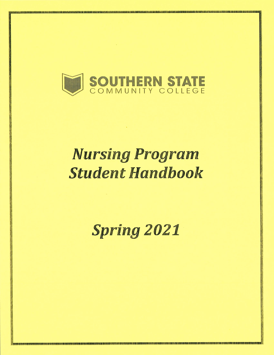

# **Nursing Program Student Handbook**

# **Spring 2021**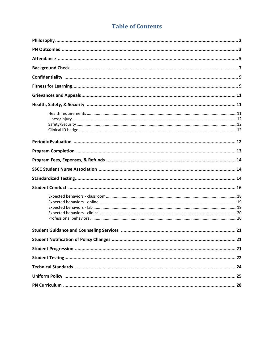### **Table of Contents**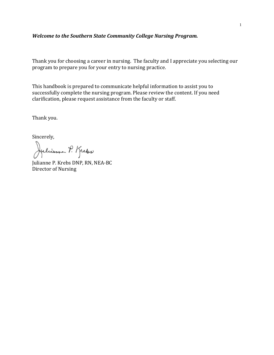#### *Welcome to the Southern State Community College Nursing Program.*

Thank you for choosing a career in nursing. The faculty and I appreciate you selecting our program to prepare you for your entry to nursing practice.

This handbook is prepared to communicate helpful information to assist you to successfully complete the nursing program. Please review the content. If you need clarification, please request assistance from the faculty or staff.

Thank you.

Sincerely,

Julianne P. Krebs

Julianne P. Krebs DNP, RN, NEA-BC Director of Nursing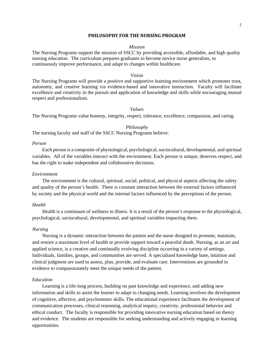#### **PHILOSOPHY FOR THE NURSING PROGRAM**

#### *Mission*

The Nursing Programs support the mission of SSCC by providing accessible, affordable, and high quality nursing education. The curriculum prepares graduates to become novice nurse generalists, to continuously improve performance, and adapt to changes within healthcare.

#### *Vision*

The Nursing Programs will provide a positive and supportive learning environment which promotes trust, autonomy, and creative learning via evidence-based and innovative instruction. Faculty will facilitate excellence and creativity in the pursuit and application of knowledge and skills while encouraging mutual respect and professionalism.

#### *Values*

The Nursing Programs value honesty, integrity, respect, tolerance, excellence, compassion, and caring.

*Philosophy*

The nursing faculty and staff of the SSCC Nursing Programs believe:

#### *Person*

Each person is a composite of physiological, psychological, sociocultural, developmental, and spiritual variables. All of the variables interact with the environment. Each person is unique, deserves respect, and has the right to make independent and collaborative decisions.

#### *Environment*

The environment is the cultural, spiritual, social, political, and physical aspects affecting the safety and quality of the person's health. There is constant interaction between the external factors influenced by society and the physical world and the internal factors influenced by the perceptions of the person.

#### *Health*

Health is a continuum of wellness to illness. It is a result of the person's response to the physiological, psychological, sociocultural, developmental, and spiritual variables impacting them.

#### *Nursing*

Nursing is a dynamic interaction between the patient and the nurse designed to promote, maintain, and restore a maximum level of health or provide support toward a peaceful death. Nursing, as an art and applied science, is a creative and continually evolving discipline occurring in a variety of settings. Individuals, families, groups, and communities are served. A specialized knowledge base, intuition and clinical judgment are used to assess, plan, provide, and evaluate care. Interventions are grounded in evidence to compassionately meet the unique needs of the patient.

#### *Education*

Learning is a life-long process, building on past knowledge and experience, and adding new information and skills to assist the learner to adapt to changing needs. Learning involves the development of cognitive, affective, and psychomotor skills. The educational experience facilitates the development of communication processes, clinical reasoning, analytical inquiry, creativity, professional behavior and ethical conduct. The faculty is responsible for providing innovative nursing education based on theory and evidence. The students are responsible for seeking understanding and actively engaging in learning opportunities.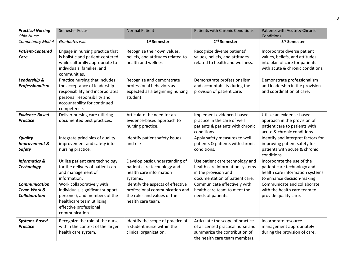| <b>Practical Nursing</b><br>Ohio Nurse                                 | <b>Semester Focus</b>                                                                                                                                                           | <b>Normal Patient</b>                                                                                                   | <b>Patients with Chronic Conditions</b>                                                                                                 | Patients with Acute & Chronic<br>Conditions                                                                                         |
|------------------------------------------------------------------------|---------------------------------------------------------------------------------------------------------------------------------------------------------------------------------|-------------------------------------------------------------------------------------------------------------------------|-----------------------------------------------------------------------------------------------------------------------------------------|-------------------------------------------------------------------------------------------------------------------------------------|
| Competency Model                                                       | Graduates will:                                                                                                                                                                 | 1 <sup>st</sup> Semester                                                                                                | 2 <sup>nd</sup> Semester                                                                                                                | 3rd Semester                                                                                                                        |
| <b>Patient-Centered</b><br>Care                                        | Engage in nursing practice that<br>is holistic and patient-centered<br>while culturally appropriate to<br>individuals, families, and<br>communities.                            | Recognize their own values,<br>beliefs, and attitudes related to<br>health and wellness.                                | Recognize diverse patients'<br>values, beliefs, and attitudes<br>related to health and wellness.                                        | Incorporate diverse patient<br>values, beliefs, and attitudes<br>into plan of care for patients<br>with acute & chronic conditions. |
| Leadership &<br>Professionalism                                        | Practice nursing that includes<br>the acceptance of leadership<br>responsibility and incorporates<br>personal responsibility and<br>accountability for continued<br>competence. | Recognize and demonstrate<br>professional behaviors as<br>expected as a beginning nursing<br>student.                   | Demonstrate professionalism<br>and accountability during the<br>provision of patient care.                                              | Demonstrate professionalism<br>and leadership in the provision<br>and coordination of care.                                         |
| <b>Evidence-Based</b><br><b>Practice</b>                               | Deliver nursing care utilizing<br>documented best practices.                                                                                                                    | Articulate the need for an<br>evidence-based approach to<br>nursing practice.                                           | Implement evidenced-based<br>practice in the care of well<br>patients & patients with chronic<br>conditions.                            | Utilize an evidence-based<br>approach in the provision of<br>patient care to patients with<br>acute & chronic conditions.           |
| <b>Quality</b><br>Improvement &<br><b>Safety</b>                       | Integrate principles of quality<br>improvement and safety into<br>nursing practice.                                                                                             | Identify patient safety issues<br>and risks.                                                                            | Apply safety measures to well<br>patients & patients with chronic<br>conditions.                                                        | Identify and interpret factors for<br>improving patient safety for<br>patients with acute & chronic<br>conditions.                  |
| <b>Informatics &amp;</b><br><b>Technology</b>                          | Utilize patient care technology<br>for the delivery of patient care<br>and management of<br>information.                                                                        | Develop basic understanding of<br>patient care technology and<br>health care information<br>systems.                    | Use patient care technology and<br>health care information systems<br>in the provision and<br>documentation of patient care.            | Incorporate the use of the<br>patient care technology and<br>health care information systems<br>to enhance decision-making.         |
| <b>Communication</b><br><b>Team Work &amp;</b><br><b>Collaboration</b> | Work collaboratively with<br>individuals, significant support<br>person(s), and members of the<br>healthcare team utilizing<br>effective professional<br>communication.         | Identify the aspects of effective<br>professional communication and<br>the roles and values of the<br>health care team. | Communicate effectively with<br>health care team to meet the<br>needs of patients.                                                      | Communicate and collaborate<br>with the health care team to<br>provide quality care.                                                |
| <b>Systems-Based</b><br><b>Practice</b>                                | Recognize the role of the nurse<br>within the context of the larger<br>health care system.                                                                                      | Identify the scope of practice of<br>a student nurse within the<br>clinical organization.                               | Articulate the scope of practice<br>of a licensed practical nurse and<br>summarize the contribution of<br>the health care team members. | Incorporate resource<br>management appropriately<br>during the provision of care.                                                   |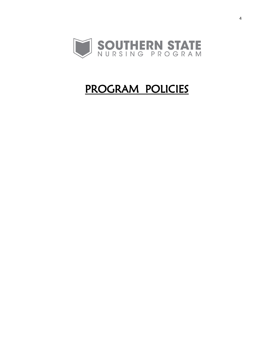

# PROGRAM POLICIES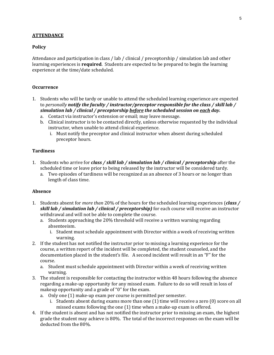#### **ATTENDANCE**

#### **Policy**

Attendance and participation in class / lab / clinical / preceptorship / simulation lab and other learning experiences is **required**. Students are expected to be prepared to begin the learning experience at the time/date scheduled.

#### **Occurrence**

- 1. Students who will be tardy or unable to attend the scheduled learning experience are expected to *personally notify the faculty / instructor/preceptor responsible for the class / skill lab / simulation lab / clinical / preceptorship before the scheduled session on each day.* 
	- a. Contact via instructor's extension or email; may leave message.
	- b. Clinical instructor is to be contacted directly, unless otherwise requested by the individual instructor, when unable to attend clinical experience.
		- i. Must notify the preceptor and clinical instructor when absent during scheduled preceptor hours.

#### **Tardiness**

- 1. Students who arrive for *class / skill lab / simulation lab / clinical / preceptorship* after the scheduled time or leave prior to being released by the instructor will be considered tardy.
	- a. Two episodes of tardiness will be recognized as an absence of 3 hours or no longer than length of class time.

#### **Absence**

- 1. Students absent for *more than* 20% of the hours for the scheduled learning experiences (*class / skill lab / simulation lab / clinical / preceptorship)* for each course will receive an instructor withdrawal and will not be able to complete the course.
	- a. Students approaching the 20% threshold will receive a written warning regarding absenteeism.
		- i. Student must schedule appointment with Director within a week of receiving written warning.
- 2. If the student has not notified the instructor prior to missing a learning experience for the course, a written report of the incident will be completed, the student counseled, and the documentation placed in the student's file. A second incident will result in an "F" for the course.
	- a. Student must schedule appointment with Director within a week of receiving written warning.
- 3. The student is responsible for contacting the instructor within 48 hours following the absence regarding a make-up opportunity for any missed exam. Failure to do so will result in loss of makeup opportunity and a grade of "0" for the exam.
	- a. Only one (1) make-up exam per course is permitted per semester.
		- i. Students absent during exams more than one (1) time will receive a zero (0) score on all missed exams following the one (1) time when a make-up exam is offered.
- 4. If the student is absent and has not notified the instructor prior to missing an exam, the highest grade the student may achieve is 80%. The total of the incorrect responses on the exam will be deducted from the 80%.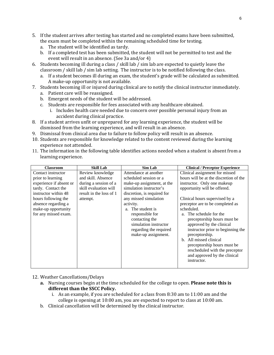- 5. If the student arrives after testing has started and no completed exams have been submitted, the exam must be completed within the remaining scheduled time for testing.
	- a. The student will be identified as tardy.
	- b. If a completed test has been submitted, the student will not be permitted to test and the event will result in an absence. (See 3a and/or 4)
- 6. Students becoming ill during a class / skill lab / sim lab are expected to quietly leave the classroom / skill lab / sim lab setting. The instructor is to be notified following the class.
	- a. If a student becomes ill during an exam, the student's grade will be calculated as submitted. A make-up opportunity is not available.
- 7. Students becoming ill or injured during clinical are to notify the clinical instructor immediately. a. Patient care will be reassigned.
	- b. Emergent needs of the student will be addressed.
	- c. Students are responsible for fees associated with any healthcare obtained.
		- i. Includes health care needed due to concern over possible personal injury from an accident during clinical practice.
- 8. If a student arrives unfit or unprepared for any learning experience, the student will be dismissed from the learning experience, and will result in an absence.
- 9. Dismissal from clinical area due to failure to follow policy will result in an absence.
- 10. Students are responsible for knowledge related to the content reviewed during the learning experience not attended.
- 11. The information in the following table identifies actions needed when a student is absent from a learning experience.

| <b>Classroom</b>        | <b>Skill Lab</b>        | Sim Lab                     | <b>Clinical / Preceptor Experience</b> |
|-------------------------|-------------------------|-----------------------------|----------------------------------------|
| Contact instructor      | Review knowledge        | Attendance at another       | Clinical assignment for missed         |
| prior to learning       | and skill. Absence      | scheduled session or a      | hours will be at the discretion of the |
| experience if absent or | during a session of a   | make-up assignment, at the  | instructor. Only one makeup            |
| tardy. Contact the      | skill evaluation will   | simulation instructor's     | opportunity will be offered.           |
| instructor within 48    | result in the loss of 1 | discretion, is required for |                                        |
| hours following the     | attempt.                | any missed simulation       | Clinical hours supervised by a         |
| absence regarding a     |                         | activity.                   | preceptor are to be completed as       |
| make-up opportunity     |                         | The student is<br>$a_{-}$   | scheduled.                             |
| for any missed exam.    |                         | responsible for             | a. The schedule for the                |
|                         |                         | contacting the              | preceptorship hours must be            |
|                         |                         | simulation instructor       | approved by the clinical               |
|                         |                         | regarding the required      | instructor prior to beginning the      |
|                         |                         | make-up assignment.         | preceptorship.                         |
|                         |                         |                             | b. All missed clinical                 |
|                         |                         |                             | preceptorship hours must be            |
|                         |                         |                             | rescheduled with the preceptor         |
|                         |                         |                             | and approved by the clinical           |
|                         |                         |                             | instructor.                            |
|                         |                         |                             |                                        |

#### 12. Weather Cancellations/Delays

- **a.** Nursing courses begin at the time scheduled for the college to open. **Please note this is different than the SSCC Policy.**
	- i. As an example, if you are scheduled for a class from 8:30 am to 11:00 am and the college is opening at 10:00 am, you are expected to report to class at 10:00 am.
- b. Clinical cancellation will be determined by the clinical instructor.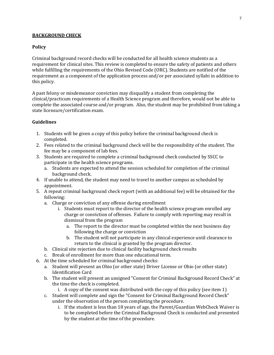#### **BACKGROUND CHECK**

#### **Policy**

Criminal background record checks will be conducted for all health science students as a requirement for clinical sites. This review is completed to ensure the safety of patients and others while fulfilling the requirements of the Ohio Revised Code (ORC). Students are notified of the requirement as a component of the application process and/or per associated syllabi in addition to this policy.

A past felony or misdemeanor conviction may disqualify a student from completing the clinical/practicum requirements of a Health Science program and therefore, would not be able to complete the associated course and/or program. Also, the student may be prohibited from taking a state licensure/certification exam.

#### **Guidelines**

- 1. Students will be given a copy of this policy before the criminal background check is completed.
- 2. Fees related to the criminal background check will be the responsibility of the student. The fee may be a component of lab fees.
- 3. Students are required to complete a criminal background check conducted by SSCC to participate in the health science programs.
	- a. Students are expected to attend the session scheduled for completion of the criminal background check.
- 4. If unable to attend, the student may need to travel to another campus as scheduled by appointment.
- 5. A repeat criminal background check report (with an additional fee) will be obtained for the following:
	- a. Charge or conviction of any offense during enrollment
		- i. Students must report to the director of the health science program enrolled any charge or conviction of offenses. Failure to comply with reporting may result in dismissal from the program
			- a. The report to the director must be completed within the next business day following the charge or conviction
			- b. The student will not participate in any clinical experience until clearance to return to the clinical is granted by the program director.
	- b. Clinical site rejection due to clinical facility background check results
	- c. Break of enrollment for more than one educational term.
- 6. At the time scheduled for criminal background checks:
	- a. Student will present an Ohio (or other state) Driver License or Ohio (or other state) Identification Card
	- b. The student will present an unsigned "Consent for Criminal Background Record Check" at the time the check is completed.
		- i. A copy of the consent was distributed with the copy of this policy (see item 1)
	- c. Student will complete and sign the "Consent for Criminal Background Record Check" under the observation of the person completing the procedure.
		- i. If the student is less than 18 years of age, the Parent/Guardian WebCheck Waiver is to be completed before the Criminal Background Check is conducted and presented by the student at the time of the procedure.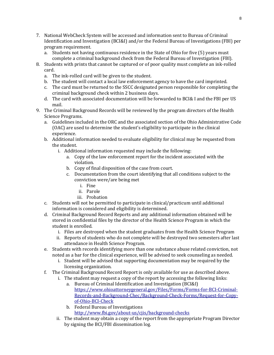- 7. National WebCheck System will be accessed and information sent to Bureau of Criminal Identification and Investigation (BCI&I) and/or the Federal Bureau of Investigations (FBI) per program requirement.
	- a. Students not having continuous residence in the State of Ohio for five (5) years must complete a criminal background check from the Federal Bureau of Investigation (FBI).
- 8. Students with prints that cannot be captured or of poor quality must complete an ink-rolled card.
	- a. The ink-rolled card will be given to the student.
	- b. The student will contact a local law enforcement agency to have the card imprinted.
	- c. The card must be returned to the SSCC designated person responsible for completing the criminal background check within 2 business days.
	- d. The card with associated documentation will be forwarded to BCI& I and the FBI per US mail.
- 9. The Criminal Background Records will be reviewed by the program directors of the Health Science Programs.
	- a. Guidelines included in the ORC and the associated section of the Ohio Administrative Code (OAC) are used to determine the student's eligibility to participate in the clinical experience.
	- b. Additional information needed to evaluate eligibility for clinical may be requested from the student.
		- i. Additional information requested may include the following:
			- a. Copy of the law enforcement report for the incident associated with the violation.
			- b. Copy of final disposition of the case from court.
			- c. Documentation from the court identifying that all conditions subject to the conviction were/are being met
				- i. Fine
				- ii. Parole
				- iii. Probation
	- c. Students will not be permitted to participate in clinical/practicum until additional information is considered and eligibility is determined.
	- d. Criminal Background Record Reports and any additional information obtained will be stored in confidential files by the director of the Health Science Program in which the student is enrolled.
		- i. Files are destroyed when the student graduates from the Health Science Program
		- ii. Reports of students who do not complete will be destroyed two semesters after last attendance in Health Science Program.
	- e. Students with records identifying more than one substance abuse related conviction, not noted as a bar for the clinical experience, will be advised to seek counseling as needed.
		- i. Student will be advised that supporting documentation may be required by the licensing organization.
	- f. The Criminal Background Record Report is only available for use as described above.
		- i. The student may request a copy of the report by accessing the following links:
			- a. Bureau of Criminal Identification and Investigation (BCI&I) [https://www.ohioattorneygeneral.gov/Files/Forms/Forms-for-BCI-Criminal-](https://www.ohioattorneygeneral.gov/Files/Forms/Forms-for-BCI-Criminal-Records-and-Background-Chec/Background-Check-Forms/Request-for-Copy-of-Ohio-BCI-Check)[Records-and-Background-Chec/Background-Check-Forms/Request-for-Copy](https://www.ohioattorneygeneral.gov/Files/Forms/Forms-for-BCI-Criminal-Records-and-Background-Chec/Background-Check-Forms/Request-for-Copy-of-Ohio-BCI-Check)[of-Ohio-BCI-Check](https://www.ohioattorneygeneral.gov/Files/Forms/Forms-for-BCI-Criminal-Records-and-Background-Chec/Background-Check-Forms/Request-for-Copy-of-Ohio-BCI-Check)
			- b. Federal Bureau of Investigations <http://www.fbi.gov/about-us/cjis/background-checks>
		- ii. The student may obtain a copy of the report from the appropriate Program Director by signing the BCI/FBI dissemination log.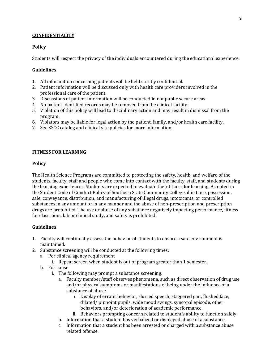#### **CONFIDENTIALITY**

#### **Policy**

Students will respect the privacy of the individuals encountered during the educational experience.

#### **Guidelines**

- 1. All information concerning patients will be held strictly confidential.
- 2. Patient information will be discussed only with health care providers involved in the professional care of the patient.
- 3. Discussions of patient information will be conducted in nonpublic secure areas.
- 4. No patient identified records may be removed from the clinical facility.
- 5. Violation of this policy will lead to disciplinary action and may result in dismissal from the program.
- 6. Violators may be liable for legal action by the patient, family, and/or health care facility.
- 7. See SSCC catalog and clinical site policies for more information.

#### **FITNESS FOR LEARNING**

#### **Policy**

The Health Science Programs are committed to protecting the safety, health, and welfare of the students, faculty, staff and people who come into contact with the faculty, staff, and students during the learning experiences. Students are expected to evaluate their fitness for learning. As noted in the Student Code of Conduct Policy of Southern State Community College, illicit use, possession, sale, conveyance, distribution, and manufacturing of illegal drugs, intoxicants, or controlled substances in any amount or in any manner and the abuse of non-prescription and prescription drugs are prohibited. The use or abuse of any substance negatively impacting performance, fitness for classroom, lab or clinical study, and safety is prohibited.

#### **Guidelines**

- 1. Faculty will continually assess the behavior of students to ensure a safe environment is maintained.
- 2. Substance screening will be conducted at the following times:
	- a. Per clinical agency requirement
		- i. Repeat screen when student is out of program greater than 1 semester.
	- b. For cause
		- i. The following may prompt a substance screening:
			- a. Faculty member/staff observes phenomena, such as direct observation of drug use and/or physical symptoms or manifestations of being under the influence of a substance of abuse.
				- i. Display of erratic behavior, slurred speech, staggered gait, flushed face, dilated/ pinpoint pupils, wide mood swings, syncopal episode, other behaviors, and/or deterioration of academic performance.
				- ii. Behaviors prompting concern related to student's ability to function safely.
			- b. Information that a student has verbalized or displayed abuse of a substance.
			- c. Information that a student has been arrested or charged with a substance abuse related offense.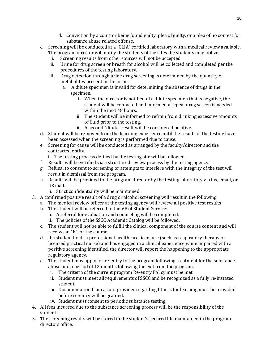- d. Conviction by a court or being found guilty, plea of guilty, or a plea of no contest for substance abuse related offense.
- c. Screening will be conducted at a "CLIA" certified laboratory with a medical review available. The program director will notify the students of the sites the students may utilize.<br>i. Screening results from other sources will not be accepted
	- i. Screening results from other sources will not be accepted<br>ii. Urine for drug screen or breath for alcohol will be collecte
	- Urine for drug screen or breath for alcohol will be collected and completed per the procedures of the testing laboratory.
	- iii. Drug detection through urine drug screening is determined by the quantity of metabolites present in the urine.
		- a. A dilute specimen is invalid for determining the absence of drugs in the specimen.
			- i. When the director is notified of a dilute specimen that is negative, the student will be contacted and informed a repeat drug screen is needed within the next 48 hours.
			- ii. The student will be informed to refrain from drinking excessive amounts of fluid prior to the testing.
			- iii. A second "dilute" result will be considered positive.
- d. Student will be removed from the learning experience until the results of the testing have been assessed when the screening is performed due to cause.
- e. Screening for cause will be conducted as arranged by the faculty/director and the contracted entity.
	- i. The testing process defined by the testing site will be followed.
- f. Results will be verified via a structured review process by the testing agency.
- g. Refusal to consent to screening or attempts to interfere with the integrity of the test will result in dismissal from the program.
- h. Results will be provided to the program director by the testing laboratory via fax, email, or US mail.
	- i. Strict confidentiality will be maintained.
- 3. A confirmed positive result of a drug or alcohol screening will result in the following:
	- a. The medical review officer at the testing agency will review all positive test results
	- b. The student will be referred to the VP of Student Services
		- i. A referral for evaluation and counseling will be completed.
		- ii. The policies of the SSCC Academic Catalog will be followed.
	- c. The student will not be able to fulfill the clinical component of the course content and will receive an "F" for the course.
	- d. If a student holds a professional healthcare licensure (such as respiratory therapy or licensed practical nurse) and has engaged in a clinical experience while impaired with a positive screening identified, the director will report the happening to the appropriate regulatory agency.
	- e. The student may apply for re-entry to the program following treatment for the substance abuse and a period of 12 months following the exit from the program.<br>i. The criteria of the current program Re-entry Policy must be met.
		- The criteria of the current program Re-entry Policy must be met.
		- ii. Student must meet all requirements of SSCC and be recognized as a fully re-instated student.
		- iii. Documentation from a care provider regarding fitness for learning must be provided before re-entry will be granted.
		- iv. Student must consent to periodic substance testing.
- 4. All fees incurred due to the substance screening process will be the responsibility of the student.
- 5. The screening results will be stored in the student's secured file maintained in the program directors office.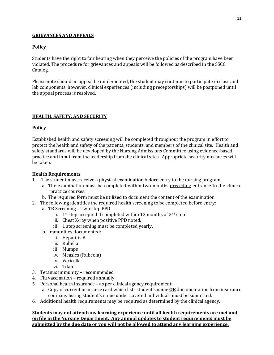#### **GRIEVANCES AND APPEALS**

#### **Policy**

Students have the right to fair hearing when they perceive the policies of the program have been violated. The procedure for grievances and appeals will be followed as described in the SSCC Catalog.

Please note should an appeal be implemented, the student may continue to participate in class and lab components, however, clinical experiences (including preceptorships) will be postponed until the appeal process is resolved.

#### **HEALTH, SAFETY, AND SECURITY**

#### **Policy**

Established health and safety screening will be completed throughout the program in effort to protect the health and safety of the patients, students, and members of the clinical site. Health and safety standards will be developed by the Nursing Admissions Committee using evidence-based practice and input from the leadership from the clinical sites. Appropriate security measures will be taken.

#### **Health Requirements**

- 1. The student must receive a physical examination before entry to the nursing program.
	- a. The examination must be completed within two months preceding entrance to the clinical practice courses.
	- b. The required form must be utilized to document the content of the examination.
- 2. The following identifies the required health screening to be completed before entry:
	- a. TB Screening Two-step PPD
		- i.  $1^{st}$  step accepted if completed within 12 months of  $2^{nd}$  step
		- ii. Chest X-ray when positive PPD noted.
		- iii. 1 step screening must be completed yearly.
	- b. Immunities documented:
		- i. Hepatitis B
		- ii. Rubella
		- iii. Mumps
		- iv. Measles (Rubeola)
		- v. Varicella
		- vi. Tdap
- 3. Tetanus immunity recommended
- 4. Flu vaccination required annually
- 5. Personal health insurance as per clinical agency requirement
	- a. Copy of current insurance card which lists student's name **OR** documentation from insurance company listing student's name under covered individuals must be submitted.
- 6. Additional health requirements may be required as determined by the clinical agency.

**Students may not attend any learning experience until all health requirements are met and on file in the Nursing Department. Any annual updates to student requirements must be submitted by the due date or you will not be allowed to attend any learning experience.**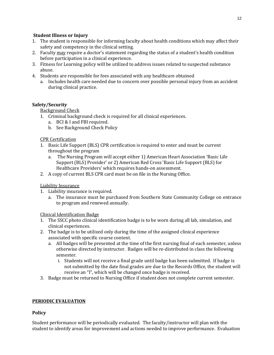#### **Student Illness or Injury**

- 1. The student is responsible for informing faculty about health conditions which may affect their safety and competency in the clinical setting.
- 2. Faculty may require a doctor's statement regarding the status of a student's health condition before participation in a clinical experience.
- 3. Fitness for Learning policy will be utilized to address issues related to suspected substance abuse.
- 4. Students are responsible for fees associated with any healthcare obtained
	- a. Includes health care needed due to concern over possible personal injury from an accident during clinical practice.

#### **Safety/Security**

#### Background Check

- 1. Criminal background check is required for all clinical experiences.
	- a. BCI & I and FBI required.
	- b. See Background Check Policy

#### CPR Certification

- 1. Basic Life Support (BLS) CPR certification is required to enter and must be current throughout the program
	- a. The Nursing Program will accept either 1) American Heart Association 'Basic Life Support (BLS) Provider' or 2) American Red Cross 'Basic Life Support (BLS) for Healthcare Providers' which requires hands-on assessment.
- 2. A copy of current BLS CPR card must be on file in the Nursing Office.

#### Liability Insurance

- 1. Liability insurance is required.
	- a. The insurance must be purchased from Southern State Community College on entrance to program and renewed annually.

#### Clinical Identification Badge

- 1. The SSCC photo clinical identification badge is to be worn during all lab, simulation, and clinical experiences.
- 2. The badge is to be utilized only during the time of the assigned clinical experience associated with specific course content.
	- a. All badges will be presented at the time of the first nursing final of each semester, unless otherwise directed by instructor. Badges will be re-distributed in class the following semester.
		- i. Students will not receive a final grade until badge has been submitted. If badge is not submitted by the date final grades are due to the Records Office, the student will receive an "I", which will be changed once badge is received.
- 3. Badge must be returned to Nursing Office if student does not complete current semester.

#### **PERIODIC EVALUATION**

#### **Policy**

Student performance will be periodically evaluated. The faculty/instructor will plan with the student to identify areas for improvement and actions needed to improve performance. Evaluation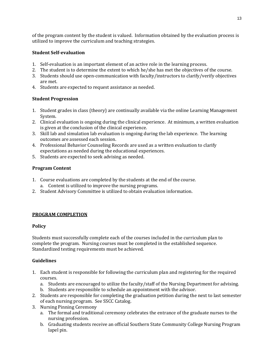of the program content by the student is valued. Information obtained by the evaluation process is utilized to improve the curriculum and teaching strategies.

#### **Student Self-evaluation**

- 1. Self-evaluation is an important element of an active role in the learning process.
- 2. The student is to determine the extent to which he/she has met the objectives of the course.
- 3. Students should use open-communication with faculty/instructors to clarify/verify objectives are met.
- 4. Students are expected to request assistance as needed.

#### **Student Progression**

- 1. Student grades in class (theory) are continually available via the online Learning Management System.
- 2. Clinical evaluation is ongoing during the clinical experience. At minimum, a written evaluation is given at the conclusion of the clinical experience.
- 3. Skill lab and simulation lab evaluation is ongoing during the lab experience. The learning outcomes are assessed each session.
- 4. Professional Behavior Counseling Records are used as a written evaluation to clarify expectations as needed during the educational experiences.
- 5. Students are expected to seek advising as needed.

#### **Program Content**

- 1. Course evaluations are completed by the students at the end of the course. a. Content is utilized to improve the nursing programs.
- 2. Student Advisory Committee is utilized to obtain evaluation information.

#### **PROGRAM COMPLETION**

#### **Policy**

Students must successfully complete each of the courses included in the curriculum plan to complete the program. Nursing courses must be completed in the established sequence. Standardized testing requirements must be achieved.

#### **Guidelines**

- 1. Each student is responsible for following the curriculum plan and registering for the required courses.
	- a. Students are encouraged to utilize the faculty/staff of the Nursing Department for advising.
	- b. Students are responsible to schedule an appointment with the advisor.
- 2. Students are responsible for completing the graduation petition during the next to last semester of each nursing program. See SSCC Catalog.
- 3. Nursing Pinning Ceremony
	- a. The formal and traditional ceremony celebrates the entrance of the graduate nurses to the nursing profession.
	- b. Graduating students receive an official Southern State Community College Nursing Program lapel pin.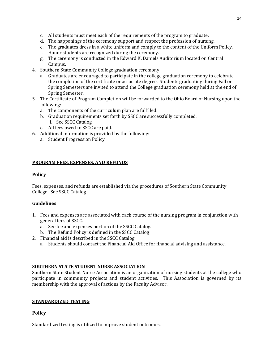- c. All students must meet each of the requirements of the program to graduate.
- d. The happenings of the ceremony support and respect the profession of nursing.
- e. The graduates dress in a white uniform and comply to the content of the Uniform Policy.
- f. Honor students are recognized during the ceremony.
- g. The ceremony is conducted in the Edward K. Daniels Auditorium located on Central Campus.
- 4. Southern State Community College graduation ceremony
	- a. Graduates are encouraged to participate in the college graduation ceremony to celebrate the completion of the certificate or associate degree. Students graduating during Fall or Spring Semesters are invited to attend the College graduation ceremony held at the end of Spring Semester.
- 5. The Certificate of Program Completion will be forwarded to the Ohio Board of Nursing upon the following:
	- a. The components of the curriculum plan are fulfilled.
	- b. Graduation requirements set forth by SSCC are successfully completed.
		- i. See SSCC Catalog
	- c. All fees owed to SSCC are paid.
- 6. Additional information is provided by the following:
	- a. Student Progression Policy

#### **PROGRAM FEES, EXPENSES, AND REFUNDS**

#### **Policy**

Fees, expenses, and refunds are established via the procedures of Southern State Community College. See SSCC Catalog.

#### **Guidelines**

- 1. Fees and expenses are associated with each course of the nursing program in conjunction with general fees of SSCC.
	- a. See fee and expenses portion of the SSCC Catalog.
	- b. The Refund Policy is defined in the SSCC Catalog
- 2. Financial aid is described in the SSCC Catalog.
	- a. Students should contact the Financial Aid Office for financial advising and assistance.

#### **SOUTHERN STATE STUDENT NURSE ASSOCIATION**

Southern State Student Nurse Association is an organization of nursing students at the college who participate in community projects and student activities. This Association is governed by its membership with the approval of actions by the Faculty Advisor.

#### **STANDARDIZED TESTING**

#### **Policy**

Standardized testing is utilized to improve student outcomes.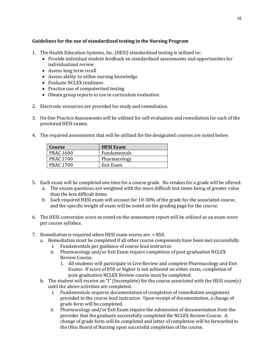#### **Guidelines for the use of standardized testing in the Nursing Program**

- 1. The Health Education Systems, Inc. (HESI) standardized testing is utilized to:
	- Provide individual student feedback on standardized assessments and opportunities for individualized review
	- Assess long term recall
	- Assess ability to utilize nursing knowledge
	- Evaluate NCLEX readiness
	- Practice use of computerized testing
	- Obtain group reports to use in curriculum evaluation
- 2. Electronic resources are provided for study and remediation.
- 3. On-line Practice Assessments will be utilized for self-evaluation and remediation for each of the proctored HESI exams.
- 4. The required assessments that will be utilized for the designated courses are noted below.

| Course           | <b>HESI</b> Exam |
|------------------|------------------|
| <b>PRAC 1600</b> | Fundamentals     |
| <b>PRAC 1700</b> | Pharmacology     |
| <b>PRAC 1700</b> | Exit Exam        |

- 5. Each exam will be completed one time for a course grade. No retakes for a grade will be offered.
	- a. The exams questions are weighted with the more difficult test items being of greater value than the less difficult items.
	- b. Each required HESI exam will account for 10-30% of the grade for the associated course, and the specific weight of exam will be noted on the grading page for the course.
- 6. The HESI conversion score as noted on the assessment report will be utilized as an exam score per course syllabus.
- 7. Remediation is required when HESI exam scores are < 850.
	- a. Remediation must be completed if all other course components have been met successfully.
		- i. Fundamentals per guidance of course lead instructor.
		- Pharmacology and/or Exit Exam require completion of post-graduation NCLEX Review Course.
			- 1. All students will participate in Live Review and complete Pharmacology and Exit Exams. If score of 850 or higher is not achieved on either exam, completion of post-graduation NCLEX Review course must be completed.
	- b. The student will receive an "I" (Incomplete) for the course associated with the HESI exam(s) until the above activities are completed.
		- i. Fundamentals requires documentation of completion of remediation assignment provided to the course lead instructor. Upon receipt of documentation, a change of grade form will be completed.
		- ii. Pharmacology and/or Exit Exam require the submission of documentation from the provider that the graduate successfully completed the NCLEX Review Course. A change of grade form will be completed and letter of completion will be forwarded to the Ohio Board of Nursing upon successful completion of the course.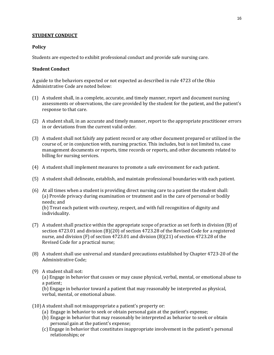#### **STUDENT CONDUCT**

#### **Policy**

Students are expected to exhibit professional conduct and provide safe nursing care.

#### **Student Conduct**

A guide to the behaviors expected or not expected as described in rule 4723 of the Ohio Administrative Code are noted below:

- (1) A student shall, in a complete, accurate, and timely manner, report and document nursing assessments or observations, the care provided by the student for the patient, and the patient's response to that care.
- (2) A student shall, in an accurate and timely manner, report to the appropriate practitioner errors in or deviations from the current valid order.
- (3) A student shall not falsify any patient record or any other document prepared or utilized in the course of, or in conjunction with, nursing practice. This includes, but is not limited to, case management documents or reports, time records or reports, and other documents related to billing for nursing services.
- (4) A student shall implement measures to promote a safe environment for each patient.
- (5) A student shall delineate, establish, and maintain professional boundaries with each patient.
- (6) At all times when a student is providing direct nursing care to a patient the student shall: (a) Provide privacy during examination or treatment and in the care of personal or bodily needs; and

(b) Treat each patient with courtesy, respect, and with full recognition of dignity and individuality.

- (7) A student shall practice within the appropriate scope of practice as set forth in division (B) of section 4723.01 and division (B)(20) of section 4723.28 of the Revised Code for a registered nurse, and division (F) of section 4723.01 and division (B)(21) of section 4723.28 of the Revised Code for a practical nurse;
- (8) A student shall use universal and standard precautions established by Chapter 4723-20 of the Administrative Code;
- (9) A student shall not:

(a) Engage in behavior that causes or may cause physical, verbal, mental, or emotional abuse to a patient;

(b) Engage in behavior toward a patient that may reasonably be interpreted as physical, verbal, mental, or emotional abuse.

- (10) A student shall not misappropriate a patient's property or:
	- (a) Engage in behavior to seek or obtain personal gain at the patient's expense;
	- (b) Engage in behavior that may reasonably be interpreted as behavior to seek or obtain personal gain at the patient's expense;
	- (c) Engage in behavior that constitutes inappropriate involvement in the patient's personal relationships; or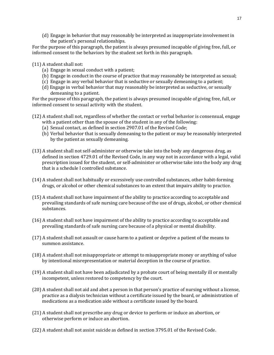(d) Engage in behavior that may reasonably be interpreted as inappropriate involvement in the patient's personal relationships.

For the purpose of this paragraph, the patient is always presumed incapable of giving free, full, or informed consent to the behaviors by the student set forth in this paragraph.

(11) A student shall not:

- (a) Engage in sexual conduct with a patient;
- (b) Engage in conduct in the course of practice that may reasonably be interpreted as sexual;
- (c) Engage in any verbal behavior that is seductive or sexually demeaning to a patient;
- (d) Engage in verbal behavior that may reasonably be interpreted as seductive, or sexually demeaning to a patient.

For the purpose of this paragraph, the patient is always presumed incapable of giving free, full, or informed consent to sexual activity with the student.

- (12) A student shall not, regardless of whether the contact or verbal behavior is consensual, engage with a patient other than the spouse of the student in any of the following:
	- (a) Sexual contact, as defined in section 2907.01 of the Revised Code;
	- (b) Verbal behavior that is sexually demeaning to the patient or may be reasonably interpreted by the patient as sexually demeaning.
- (13) A student shall not self-administer or otherwise take into the body any dangerous drug, as defined in section 4729.01 of the Revised Code, in any way not in accordance with a legal, valid prescription issued for the student, or self-administer or otherwise take into the body any drug that is a schedule I controlled substance.
- (14) A student shall not habitually or excessively use controlled substances, other habit-forming drugs, or alcohol or other chemical substances to an extent that impairs ability to practice.
- (15) A student shall not have impairment of the ability to practice according to acceptable and prevailing standards of safe nursing care because of the use of drugs, alcohol, or other chemical substances.
- (16) A student shall not have impairment of the ability to practice according to acceptable and prevailing standards of safe nursing care because of a physical or mental disability.
- (17) A student shall not assault or cause harm to a patient or deprive a patient of the means to summon assistance.
- (18) A student shall not misappropriate or attempt to misappropriate money or anything of value by intentional misrepresentation or material deception in the course of practice.
- (19) A student shall not have been adjudicated by a probate court of being mentally ill or mentally incompetent, unless restored to competency by the court.
- (20) A student shall not aid and abet a person in that person's practice of nursing without a license, practice as a dialysis technician without a certificate issued by the board, or administration of medications as a medication aide without a certificate issued by the board.
- (21) A student shall not prescribe any drug or device to perform or induce an abortion, or otherwise perform or induce an abortion.
- (22) A student shall not assist suicide as defined in section 3795.01 of the Revised Code.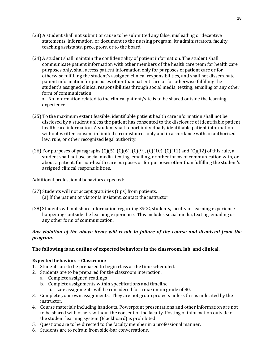- (23) A student shall not submit or cause to be submitted any false, misleading or deceptive statements, information, or document to the nursing program, its administrators, faculty, teaching assistants, preceptors, or to the board.
- (24) A student shall maintain the confidentiality of patient information. The student shall communicate patient information with other members of the health care team for health care purposes only, shall access patient information only for purposes of patient care or for otherwise fulfilling the student's assigned clinical responsibilities, and shall not disseminate patient information for purposes other than patient care or for otherwise fulfilling the student's assigned clinical responsibilities through social media, texting, emailing or any other form of communication.

• No information related to the clinical patient/site is to be shared outside the learning experience

- (25) To the maximum extent feasible, identifiable patient health care information shall not be disclosed by a student unless the patient has consented to the disclosure of identifiable patient health care information. A student shall report individually identifiable patient information without written consent in limited circumstances only and in accordance with an authorized law, rule, or other recognized legal authority.
- (26) For purposes of paragraphs  $(C)(5)$ ,  $(C)(6)$ ,  $(C)(9)$ ,  $(C)(10)$ ,  $(C)(11)$  and  $(C)(12)$  of this rule, a student shall not use social media, texting, emailing, or other forms of communication with, or about a patient, for non-health care purposes or for purposes other than fulfilling the student's assigned clinical responsibilities.

Additional professional behaviors expected:

- (27) Students will not accept gratuities (tips) from patients. (a) If the patient or visitor is insistent, contact the instructor.
- (28) Students will not share information regarding SSCC, students, faculty or learning experience happenings outside the learning experience. This includes social media, texting, emailing or any other form of communication.

#### *Any violation of the above items will result in failure of the course and dismissal from the program.*

#### **The following is an outline of expected behaviors in the classroom, lab, and clinical.**

#### **Expected behaviors – Classroom***:*

- 1. Students are to be prepared to begin class at the time scheduled.
- 2. Students are to be prepared for the classroom interaction.
	- a. Complete assigned readings
		- b. Complete assignments within specifications and timeline
			- i. Late assignments will be considered for a maximum grade of 80.
- 3. Complete your own assignments. They are not group projects unless this is indicated by the instructor.
- 4. Course materials including handouts, Powerpoint presentations and other information are not to be shared with others without the consent of the faculty. Posting of information outside of the student learning system (Blackboard) is prohibited.
- 5. Questions are to be directed to the faculty member in a professional manner.
- 6. Students are to refrain from side-bar conversations.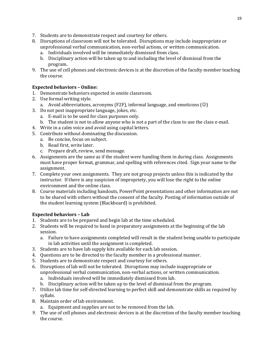- 7. Students are to demonstrate respect and courtesy for others.
- 8. Disruptions of classroom will not be tolerated. Disruptions may include inappropriate or unprofessional verbal communication, non-verbal actions, or written communication.
	- a. Individuals involved will be immediately dismissed from class.
	- b. Disciplinary action will be taken up to and including the level of dismissal from the program.
- 9. The use of cell phones and electronic devices is at the discretion of the faculty member teaching the course.

#### **Expected behaviors – Online:**

- 1. Demonstrate behaviors expected in onsite classroom.
- 2. Use formal writing style.
	- a. Avoid abbreviations, acronyms (F2F), informal language, and emoticons  $\circledcirc$
- 3. Do not post inappropriate language, jokes, etc.
	- a. E-mail is to be used for class purposes only.
	- b. The student is not to allow anyone who is not a part of the class to use the class e-mail.
- 4. Write in a calm voice and avoid using capital letters.
- 5. Contribute without dominating the discussion.
	- a. Be concise, focus on subject.
	- b. Read first, write later.
	- c. Prepare draft, review, send message.
- 6. Assignments are the same as if the student were handing them in during class. Assignments must have proper format, grammar, and spelling with references cited. Sign your name to the assignment.
- 7. Complete your own assignments. They are not group projects unless this is indicated by the instructor. If there is any suspicion of impropriety, you will lose the right to the online environment and the online class.
- 8. Course materials including handouts, PowerPoint presentations and other information are not to be shared with others without the consent of the faculty. Posting of information outside of the student learning system (Blackboard) is prohibited.

#### **Expected behaviors – Lab**

- 1. Students are to be prepared and begin lab at the time scheduled.
- 2. Students will be required to hand in preparatory assignments at the beginning of the lab session.
	- a. Failure to have assignments completed will result in the student being unable to participate in lab activities until the assignment is completed.
- 3. Students are to have lab supply kits available for each lab session.
- 4. Questions are to be directed to the faculty member in a professional manner.
- 5. Students are to demonstrate respect and courtesy for others.
- 6. Disruptions of lab will not be tolerated. Disruptions may include inappropriate or unprofessional verbal communication, non-verbal actions, or written communication.
	- a. Individuals involved will be immediately dismissed from lab.
	- b. Disciplinary action will be taken up to the level of dismissal from the program.
- 7. Utilize lab time for self-directed learning to perfect skill and demonstrate skills as required by syllabi.
- 8. Maintain order of lab environment.
	- a. Equipment and supplies are not to be removed from the lab.
- *9.* The use of cell phones and electronic devices is at the discretion of the faculty member teaching the course.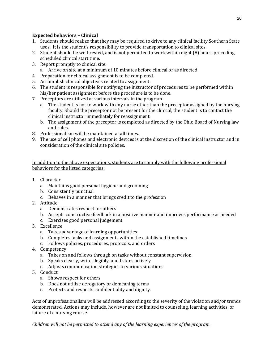#### **Expected behaviors – Clinical**

- 1. Students should realize that they may be required to drive to any clinical facility Southern State uses. It is the student's responsibility to provide transportation to clinical sites.
- 2. Student should be well-rested, and is not permitted to work within eight (8) hours preceding scheduled clinical start time.
- 3. Report promptly to clinical site.
	- a. Arrive on site at a minimum of 10 minutes before clinical or as directed.
- 4. Preparation for clinical assignment is to be completed.
- 5. Accomplish clinical objectives related to assignment.
- 6. The student is responsible for notifying the instructor of procedures to be performed within his/her patient assignment before the procedure is to be done.
- 7. Preceptors are utilized at various intervals in the program.
	- a. The student is not to work with any nurse other than the preceptor assigned by the nursing faculty. Should the preceptor not be present for the clinical, the student is to contact the clinical instructor immediately for reassignment.
	- b. The assignment of the preceptor is completed as directed by the Ohio Board of Nursing law and rules.
- 8. Professionalism will be maintained at all times.
- 9. The use of cell phones and electronic devices is at the discretion of the clinical instructor and in consideration of the clinical site policies.

In addition to the above expectations, students are to comply with the following professional behaviors for the listed categories:

- 1. Character
	- a. Maintains good personal hygiene and grooming
	- b. Consistently punctual
	- c. Behaves in a manner that brings credit to the profession
- 2. Attitude
	- a. Demonstrates respect for others
	- b. Accepts constructive feedback in a positive manner and improves performance as needed
	- c. Exercises good personal judgement
- 3. Excellence
	- a. Takes advantage of learning opportunities
	- b. Completes tasks and assignments within the established timelines
	- c. Follows policies, procedures, protocols, and orders
- 4. Competency
	- a. Takes on and follows through on tasks without constant supervision
	- b. Speaks clearly, writes legibly, and listens actively
	- c. Adjusts communication strategies to various situations
- 5. Conduct
	- a. Shows respect for others
	- b. Does not utilize derogatory or demeaning terms
	- c. Protects and respects confidentiality and dignity.

Acts of unprofessionalism will be addressed according to the severity of the violation and/or trends demonstrated. Actions may include, however are not limited to counseling, learning activities, or failure of a nursing course.

*Children will not be permitted to attend any of the learning experiences of the program.*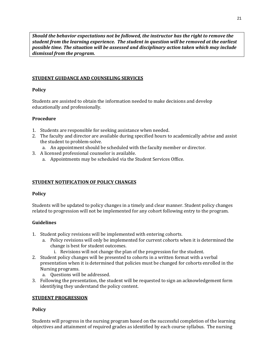*Should the behavior expectations not be followed, the instructor has the right to remove the student from the learning experience. The student in question will be removed at the earliest possible time. The situation will be assessed and disciplinary action taken which may include dismissal from the program.* 

#### **STUDENT GUIDANCE AND COUNSELING SERVICES**

#### **Policy**

Students are assisted to obtain the information needed to make decisions and develop educationally and professionally.

#### **Procedure**

- 1. Students are responsible for seeking assistance when needed.
- 2. The faculty and director are available during specified hours to academically advise and assist the student to problem-solve.
	- a. An appointment should be scheduled with the faculty member or director.
- 3. A licensed professional counselor is available.
	- a. Appointments may be scheduled via the Student Services Office.

#### **STUDENT NOTIFICATION OF POLICY CHANGES**

#### **Policy**

Students will be updated to policy changes in a timely and clear manner. Student policy changes related to progression will not be implemented for any cohort following entry to the program.

#### **Guidelines**

- 1. Student policy revisions will be implemented with entering cohorts.
	- a. Policy revisions will only be implemented for current cohorts when it is determined the change is best for student outcomes.
		- i. Revisions will not change the plan of the progression for the student.
- 2. Student policy changes will be presented to cohorts in a written format with a verbal presentation when it is determined that policies must be changed for cohorts enrolled in the Nursing programs.
	- a. Questions will be addressed.
- 3. Following the presentation, the student will be requested to sign an acknowledgement form identifying they understand the policy content.

#### **STUDENT PROGRESSION**

#### **Policy**

Students will progress in the nursing program based on the successful completion of the learning objectives and attainment of required grades as identified by each course syllabus. The nursing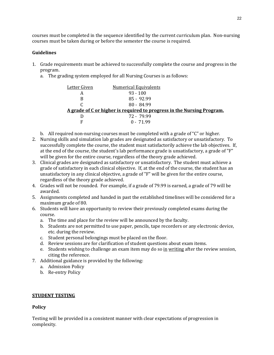courses must be completed in the sequence identified by the current curriculum plan. Non-nursing courses must be taken during or before the semester the course is required.

#### **Guidelines**

- 1. Grade requirements must be achieved to successfully complete the course and progress in the program.
	- a. The grading system employed for all Nursing Courses is as follows:

| Letter Given | <b>Numerical Equivalents</b>                                           |  |
|--------------|------------------------------------------------------------------------|--|
| А            | $93 - 100$                                                             |  |
| B            | 85 - 92.99                                                             |  |
|              | $80 - 84.99$                                                           |  |
|              | A grade of C or higher is required to progress in the Nursing Program. |  |
|              | 72 - 79.99                                                             |  |
| F            | $0 - 71.99$                                                            |  |

b. All required non-nursing courses must be completed with a grade of "C" or higher.

- 2. Nursing skills and simulation lab grades are designated as satisfactory or unsatisfactory. To successfully complete the course, the student must satisfactorily achieve the lab objectives. If, at the end of the course, the student's lab performance grade is unsatisfactory, a grade of "F" will be given for the entire course, regardless of the theory grade achieved.
- 3. Clinical grades are designated as satisfactory or unsatisfactory. The student must achieve a grade of satisfactory in each clinical objective. If, at the end of the course, the student has an unsatisfactory in any clinical objective, a grade of "F" will be given for the entire course, regardless of the theory grade achieved.
- 4. Grades will not be rounded. For example, if a grade of 79.99 is earned, a grade of 79 will be awarded.
- 5. Assignments completed and handed in past the established timelines will be considered for a maximum grade of 80.
- 6. Students will have an opportunity to review their previously completed exams during the course.
	- a. The time and place for the review will be announced by the faculty.
	- b. Students are not permitted to use paper, pencils, tape recorders or any electronic device, etc. during the review.
	- c. Student personal belongings must be placed on the floor.
	- d. Review sessions are for clarification of student questions about exam items.
	- e. Students wishing to challenge an exam item may do so in writing after the review session, citing the reference.
- 7. Additional guidance is provided by the following:
	- a. Admission Policy
	- b. Re-entry Policy

#### **STUDENT TESTING**

#### **Policy**

Testing will be provided in a consistent manner with clear expectations of progression in complexity.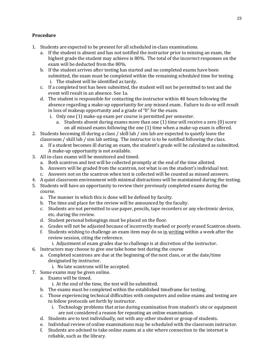#### **Procedure**

- 1. Students are expected to be present for all scheduled in-class examinations.
	- a. If the student is absent and has not notified the instructor prior to missing an exam, the highest grade the student may achieve is 80%. The total of the incorrect responses on the exam will be deducted from the 80%.
	- b. If the student arrives after testing has started and no completed exams have been submitted, the exam must be completed within the remaining scheduled time for testing. i. The student will be identified as tardy.
	- c. If a completed test has been submitted, the student will not be permitted to test and the event will result in an absence. See 1a.
	- d. The student is responsible for contacting the instructor within 48 hours following the absence regarding a make-up opportunity for any missed exam. Failure to do so will result in loss of makeup opportunity and a grade of "0" for the exam.
		- i. Only one (1) make-up exam per course is permitted per semester.
			- a. Students absent during exams more than one (1) time will receive a zero (0) score on all missed exams following the one (1) time when a make-up exam is offered.
- 2. Students becoming ill during a class / skill lab / sim lab are expected to quietly leave the classroom / skill lab / sim lab setting. The instructor is to be notified following the class.
	- a. If a student becomes ill during an exam, the student's grade will be calculated as submitted. A make-up opportunity is not available.
- 3. All in-class exams will be monitored and timed.
	- a. Both scantron and test will be collected promptly at the end of the time allotted.
	- b. Answers will be graded from the scantron, not what is on the student's individual test.
	- c. Answers not on the scantron when test is collected will be counted as missed answers.
- 4. A quiet classroom environment with minimal distractions will be maintained during the testing.
- 5. Students will have an opportunity to review their previously completed exams during the course.
	- a. The manner in which this is done will be defined by faculty.
	- b. The time and place for the review will be announced by the faculty.
	- c. Students are not permitted to use paper, pencils, tape recorders or any electronic device, etc. during the review.
	- d. Student personal belongings must be placed on the floor.
	- e. Grades will not be adjusted because of incorrectly marked or poorly erased Scantron sheets.
	- f. Students wishing to challenge an exam item may do so in writing within a week after the review session, citing the reference.
		- i. Adjustment of exam grades due to challenge is at discretion of the instructor.
- 6. Instructors may choose to give one take home test during the course
	- a. Completed scantrons are due at the beginning of the next class, or at the date/time designated by instructor.
		- i. No late scantrons will be accepted.
- 7. Some exams may be given online.
- a. Exams will be timed.
	- i. At the end of the time, the test will be submitted.
	- b. The exams must be completed within the established timeframe for testing.
	- c. Those experiencing technical difficulties with computers and online exams and testing are to follow protocols set forth by instructor.
		- i. Technology problems that arise during examination from student's site or equipment are not considered a reason for repeating an online examination.
	- d. Students are to test individually, not with any other student or group of students.
	- e. Individual review of online examinations may be scheduled with the classroom instructor.
	- f. Students are advised to take online exams at a site where connection to the internet is reliable, such as the library.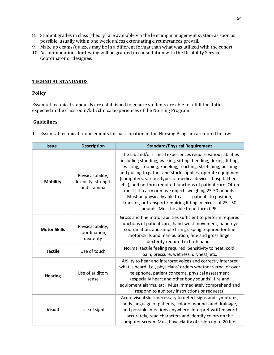- 8. Student grades in class (theory) are available via the learning management system as soon as possible, usually within one week unless extenuating circumstances prevail.
- 9. Make up exams/quizzes may be in a different format than what was utilized with the cohort.
- 10. Accommodations for testing will be granted in consultation with the Disability Services Coordinator or designee.

#### **TECHNICAL STANDARDS**

#### **Policy**

Essential technical standards are established to ensure students are able to fulfill the duties expected in the classroom/lab/clinical experiences of the Nursing Program.

#### **Guidelines**

1. Essential technical requirements for participation in the Nursing Program are noted below:

| <b>Issue</b>        | <b>Description</b>                                        | <b>Standard/Physical Requirement</b>                                                                                                                                                                                                                                                                                                                                                                                                                                                                                                                                                                                           |  |  |  |  |
|---------------------|-----------------------------------------------------------|--------------------------------------------------------------------------------------------------------------------------------------------------------------------------------------------------------------------------------------------------------------------------------------------------------------------------------------------------------------------------------------------------------------------------------------------------------------------------------------------------------------------------------------------------------------------------------------------------------------------------------|--|--|--|--|
| <b>Mobility</b>     | Physical ability,<br>flexibility, strength<br>and stamina | The lab and/or clinical experiences require various abilities<br>including standing, walking, sitting, bending, flexing, lifting,<br>twisting, stooping, kneeling, reaching, stretching, pushing<br>and pulling to gather and stock supplies, operate equipment<br>(computers, various types of medical devices, hospital beds,<br>etc.), and perform required functions of patient care. Often<br>must lift, carry or move objects weighing 25-50 pounds.<br>Must be physically able to assist patients to position,<br>transfer, or transport requiring lifting in excess of 25 - 50<br>pounds. Must be able to perform CPR. |  |  |  |  |
| <b>Motor Skills</b> | Physical ability,<br>coordination,<br>dexterity           | Gross and fine motor abilities sufficient to perform required<br>functions of patient care; hand-wrist movement, hand-eye<br>coordination, and simple firm grasping required for fine<br>motor-skills and manipulation; fine and gross finger<br>dexterity required in both hands.                                                                                                                                                                                                                                                                                                                                             |  |  |  |  |
| <b>Tactile</b>      | Use of touch                                              | Normal tactile feeling required. Sensitivity to heat, cold,<br>pain, pressure, wetness, dryness, etc.                                                                                                                                                                                                                                                                                                                                                                                                                                                                                                                          |  |  |  |  |
| <b>Hearing</b>      | Use of auditory<br>sense                                  | Ability to hear and interpret voices and correctly interpret<br>what is heard; i.e., physicians' orders whether verbal or over<br>telephone, patient concerns, physical assessment<br>(especially heart and other body sounds), fire and<br>equipment alarms, etc. Must immediately comprehend and<br>respond to auditory instructions or requests.                                                                                                                                                                                                                                                                            |  |  |  |  |
| <b>Visual</b>       | Use of sight                                              | Acute visual skills necessary to detect signs and symptoms,<br>body language of patients, color of wounds and drainage,<br>and possible infections anywhere. Interpret written word<br>accurately, read characters and identify colors on the<br>computer screen. Must have clarity of vision up to 20 feet.                                                                                                                                                                                                                                                                                                                   |  |  |  |  |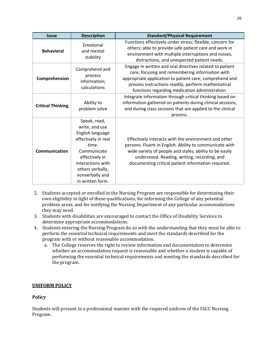| <b>Issue</b>             | <b>Description</b>                                                                                                                                                                                  | <b>Standard/Physical Requirement</b>                                                                                                                                                                                                                                             |  |  |  |  |
|--------------------------|-----------------------------------------------------------------------------------------------------------------------------------------------------------------------------------------------------|----------------------------------------------------------------------------------------------------------------------------------------------------------------------------------------------------------------------------------------------------------------------------------|--|--|--|--|
| <b>Behavioral</b>        | Emotional<br>and mental<br>stability                                                                                                                                                                | Functions effectively under stress; flexible, concern for<br>others; able to provide safe patient care and work in<br>environment with multiple interruptions and noises,<br>distractions, and unexpected patient needs.                                                         |  |  |  |  |
| Comprehension            | Comprehend and<br>process<br>information;<br>calculations                                                                                                                                           | Engage in written and oral directives related to patient<br>care, focusing and remembering information with<br>appropriate application to patient care; comprehend and<br>process instructions readily; perform mathematical<br>functions regarding medication administration.   |  |  |  |  |
| <b>Critical Thinking</b> | Ability to<br>problem solve                                                                                                                                                                         | Integrate information through critical thinking based on<br>information gathered on patients during clinical sessions,<br>and during class sessions that are applied to the clinical<br>process.                                                                                 |  |  |  |  |
| <b>Communication</b>     | Speak, read,<br>write, and use<br>English language<br>effectively in real<br>time.<br>Communicate<br>effectively in<br>interactions with<br>others verbally,<br>nonverbally and<br>in written form. | Effectively interacts with the environment and other<br>persons. Fluent in English. Ability to communicate with<br>wide variety of people and styles, ability to be easily<br>understood. Reading, writing, recording, and<br>documenting critical patient information required. |  |  |  |  |

- 2. Students accepted or enrolled in the Nursing Program are responsible for determining their own eligibility in light of these qualifications, for informing the College of any potential problem areas, and for notifying the Nursing Department of any particular accommodations they may need.
- 3. Students with disabilities are encouraged to contact the Office of Disability Services to determine appropriate accommodations.
- 4. Students entering the Nursing Program do so with the understanding that they must be able to perform the essential technical requirements and meet the standards described for the program with or without reasonable accommodation.
	- a. The College reserves the right to review information and documentation to determine whether an accommodation request is reasonable and whether a student is capable of performing the essential technical requirements and meeting the standards described for the program.

#### **UNIFORM POLICY**

#### **Policy**

Students will present in a professional manner with the required uniform of the SSCC Nursing Program.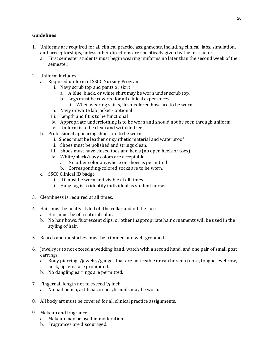#### **Guidelines**

- 1. Uniforms are required for all clinical practice assignments, including clinical, labs, simulation, and preceptorships, unless other directions are specifically given by the instructor.
	- a. First semester students must begin wearing uniforms no later than the second week of the semester.
- 2. Uniform includes:
	- a. Required uniform of SSCC Nursing Program
		- i. Navy scrub top and pants or skirt
			- a. A blue, black, or white shirt may be worn under scrub top.
			- b. Legs must be covered for all clinical experiences
				- i. When wearing skirts, flesh-colored hose are to be worn.
		- ii. Navy or white lab jacket optional
		- iii. Length and fit is to be functional
		- iv. Appropriate underclothing is to be worn and should not be seen through uniform.
		- v. Uniform is to be clean and wrinkle-free
	- b. Professional appearing shoes are to be worn
		- i. Shoes must be leather or synthetic material and waterproof
		- ii. Shoes must be polished and strings clean.
		- iii. Shoes must have closed toes and heels (no open heels or toes).
		- iv. White/black/navy colors are acceptable
			- a. No other color anywhere on shoes is permitted
			- b. Corresponding-colored socks are to be worn.
	- c. SSCC Clinical ID badge
		- i. ID must be worn and visible at all times.
		- ii. Hang tag is to identify individual as student nurse.
- 3. Cleanliness is required at all times.
- 4. Hair must be neatly styled off the collar and off the face.
	- a. Hair must be of a natural color.
	- b. No hair bows, fluorescent clips, or other inappropriate hair ornaments will be used in the styling of hair.
- 5. Beards and mustaches must be trimmed and well-groomed.
- 6. Jewelry is to not exceed a wedding band, watch with a second hand, and one pair of small post earrings.
	- a. Body piercings/jewelry/gauges that are noticeable or can be seen (nose, tongue, eyebrow, neck, lip, etc.) are prohibited.
	- b. No dangling earrings are permitted.
- 7. Fingernail length not to exceed ¼ inch.
	- a. No nail polish, artificial, or acrylic nails may be worn.
- 8. All body art must be covered for all clinical practice assignments.
- 9. Makeup and fragrance
	- a. Makeup may be used in moderation.
	- b. Fragrances are discouraged.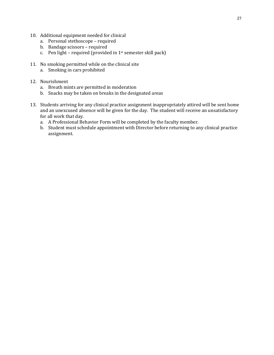- 10. Additional equipment needed for clinical
	- a. Personal stethoscope required
	- b. Bandage scissors required
	- c. Pen light required (provided in  $1<sup>st</sup>$  semester skill pack)
- 11. No smoking permitted while on the clinical site
	- a. Smoking in cars prohibited
- 12. Nourishment
	- a. Breath mints are permitted in moderation
	- b. Snacks may be taken on breaks in the designated areas
- 13. Students arriving for any clinical practice assignment inappropriately attired will be sent home and an unexcused absence will be given for the day. The student will receive an unsatisfactory for all work that day.
	- a. A Professional Behavior Form will be completed by the faculty member.
	- b. Student must schedule appointment with Director before returning to any clinical practice assignment.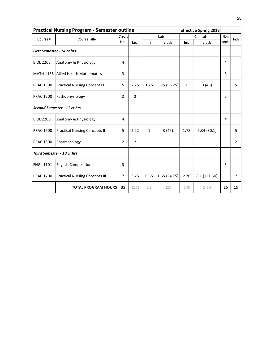| <b>Practical Nursing Program - Semester outline</b> |                                       |                |                |              | effective Spring 2018 |              |              |                |                |
|-----------------------------------------------------|---------------------------------------|----------------|----------------|--------------|-----------------------|--------------|--------------|----------------|----------------|
| Course #                                            | <b>Course Title</b>                   | Credit         |                | Lab          |                       | Clinical     |              | Non            | Tech           |
|                                                     |                                       | Hrs.           | Lect           | hrs          | clock                 | hrs          | clock        | tech           |                |
| <b>First Semester - 14 cr hrs</b>                   |                                       |                |                |              |                       |              |              |                |                |
| <b>BIOL 2205</b>                                    | Anatomy & Physiology I                | 4              |                |              |                       |              |              | 4              |                |
|                                                     | MATH 1135 Allied Health Mathematics   | 3              |                |              |                       |              |              | 3              |                |
| <b>PRAC 1500</b>                                    | <b>Practical Nursing Concepts I</b>   | 5              | 2.75           | 1.25         | 3.75 (56.25)          | $\mathbf{1}$ | 3(45)        |                | 5              |
| <b>PRAC 1200</b>                                    | Pathophysiology                       | $\overline{2}$ | $\overline{2}$ |              |                       |              |              | $\overline{2}$ |                |
|                                                     | Second Semester - 11 cr hrs           |                |                |              |                       |              |              |                |                |
| <b>BIOL 2206</b>                                    | Anatomy & Physiology II               | 4              |                |              |                       |              |              | 4              |                |
| <b>PRAC 1600</b>                                    | <b>Practical Nursing Concepts II</b>  | 5              | 2.22           | $\mathbf{1}$ | 3(45)                 | 1.78         | 5.34(80.1)   |                | 5              |
| <b>PRAC 1300</b>                                    | Pharmacology                          | $\overline{2}$ | $\overline{2}$ |              |                       |              |              |                | 2              |
| Third Semester - 10 cr hrs                          |                                       |                |                |              |                       |              |              |                |                |
| <b>ENGL 1101</b>                                    | <b>English Composition I</b>          | 3              |                |              |                       |              |              | $\overline{3}$ |                |
| <b>PRAC 1700</b>                                    | <b>Practical Nursing Concepts III</b> | $\overline{7}$ | 3.75           | 0.55         | 1.65(24.75)           | 2.70         | 8.1 (121.50) |                | $\overline{7}$ |
|                                                     | <b>TOTAL PROGRAM HOURS</b>            | 35             | 12.72          | 2.8          | 126                   | 5.48         | 246.6        | 16             | 19             |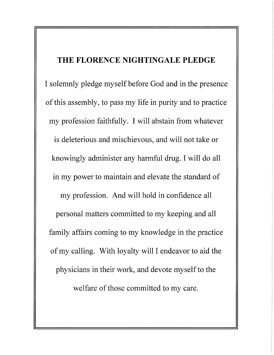## THE FLORENCE NIGHTINGALE PLEDGE

I solemnly pledge myself before God and in the presence of this assembly, to pass my life in purity and to practice my profession faithfully. I will abstain from whatever is deleterious and mischievous, and will not take or knowingly administer any harmful drug. I will do all in my power to maintain and elevate the standard of my profession. And will hold in confidence all personal matters committed to my keeping and all family affairs coming to my knowledge in the practice of my calling. With loyalty will I endeavor to aid the physicians in their work, and devote myself to the welfare of those committed to my care.